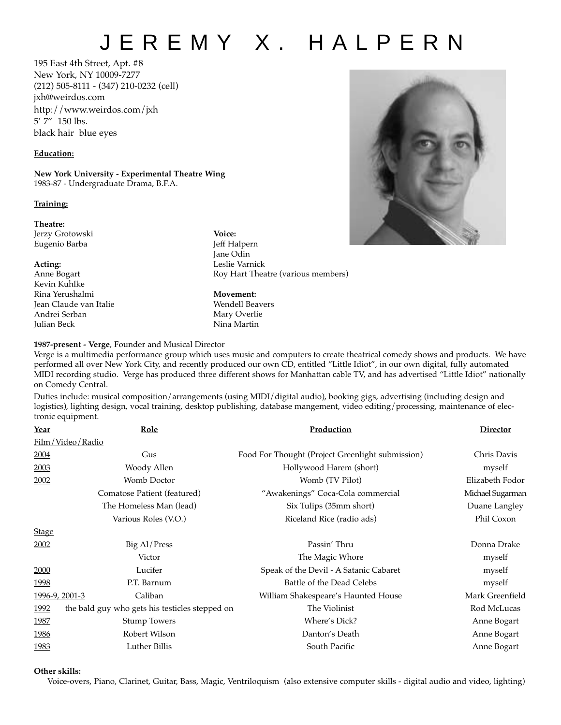## JEREMY X. HALPERN

195 East 4th Street, Apt. #8 New York, NY 10009-7277 (212) 505-8111 - (347) 210-0232 (cell) jxh@weirdos.com http://www.weirdos.com/jxh 5' 7" 150 lbs. black hair blue eyes

## **Education:**

**New York University - Experimental Theatre Wing** 1983-87 - Undergraduate Drama, B.F.A.

## **Training:**

**Theatre:**

Jerzy Grotowski Eugenio Barba

**Acting:** Anne Bogart Kevin Kuhlke Rina Yerushalmi Jean Claude van Italie Andrei Serban Julian Beck

**Voice:** Jeff Halpern Jane Odin Leslie Varnick Roy Hart Theatre (various members)

**Movement:** Wendell Beavers Mary Overlie Nina Martin



## **1987-present - Verge**, Founder and Musical Director

Verge is a multimedia performance group which uses music and computers to create theatrical comedy shows and products. We have performed all over New York City, and recently produced our own CD, entitled "Little Idiot", in our own digital, fully automated MIDI recording studio. Verge has produced three different shows for Manhattan cable TV, and has advertised "Little Idiot" nationally on Comedy Central.

Duties include: musical composition/arrangements (using MIDI/digital audio), booking gigs, advertising (including design and logistics), lighting design, vocal training, desktop publishing, database mangement, video editing/processing, maintenance of electronic equipment.

| <b>Year</b>    | Role                                           | Production                                       | <b>Director</b>  |
|----------------|------------------------------------------------|--------------------------------------------------|------------------|
|                | Film/Video/Radio                               |                                                  |                  |
| 2004           | Gus                                            | Food For Thought (Project Greenlight submission) | Chris Davis      |
| 2003           | Woody Allen                                    | Hollywood Harem (short)                          | myself           |
| 2002           | Womb Doctor                                    | Womb (TV Pilot)                                  | Elizabeth Fodor  |
|                | Comatose Patient (featured)                    | "Awakenings" Coca-Cola commercial                | Michael Sugarman |
|                | The Homeless Man (lead)                        | Six Tulips (35mm short)                          | Duane Langley    |
|                | Various Roles (V.O.)                           | Riceland Rice (radio ads)                        | Phil Coxon       |
| <b>Stage</b>   |                                                |                                                  |                  |
| 2002           | Big Al/Press                                   | Passin' Thru                                     | Donna Drake      |
|                | Victor                                         | The Magic Whore                                  | myself           |
| 2000           | Lucifer                                        | Speak of the Devil - A Satanic Cabaret           | myself           |
| 1998           | P.T. Barnum                                    | Battle of the Dead Celebs                        | myself           |
| 1996-9, 2001-3 | Caliban                                        | William Shakespeare's Haunted House              | Mark Greenfield  |
| 1992           | the bald guy who gets his testicles stepped on | The Violinist                                    | Rod McLucas      |
| <u>1987</u>    | <b>Stump Towers</b>                            | Where's Dick?                                    | Anne Bogart      |
| 1986           | Robert Wilson                                  | Danton's Death                                   | Anne Bogart      |
| 1983           | Luther Billis                                  | South Pacific                                    | Anne Bogart      |

**Other skills:**

Voice-overs, Piano, Clarinet, Guitar, Bass, Magic, Ventriloquism (also extensive computer skills - digital audio and video, lighting)